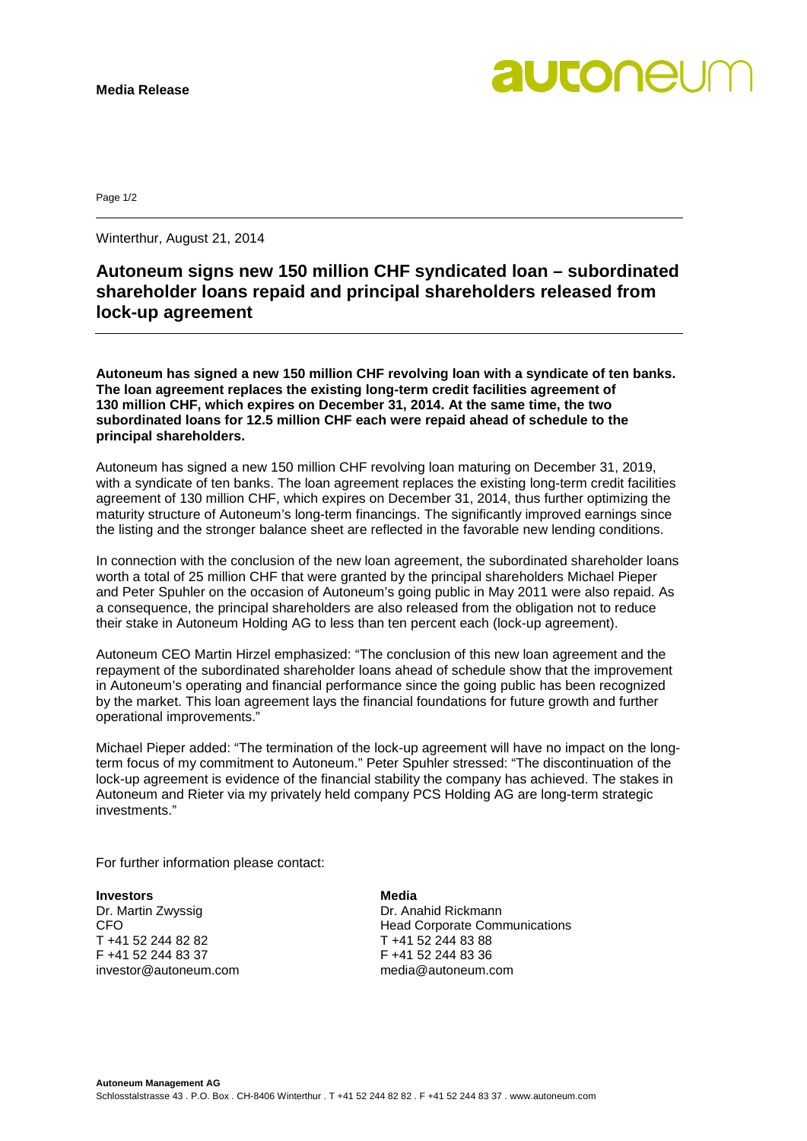

Page 1/2

Winterthur, August 21, 2014

## **Autoneum signs new 150 million CHF syndicated loan – subordinated shareholder loans repaid and principal shareholders released from lock-up agreement**

**Autoneum has signed a new 150 million CHF revolving loan with a syndicate of ten banks. The loan agreement replaces the existing long-term credit facilities agreement of 130 million CHF, which expires on December 31, 2014. At the same time, the two subordinated loans for 12.5 million CHF each were repaid ahead of schedule to the principal shareholders.**

Autoneum has signed a new 150 million CHF revolving loan maturing on December 31, 2019, with a syndicate of ten banks. The loan agreement replaces the existing long-term credit facilities agreement of 130 million CHF, which expires on December 31, 2014, thus further optimizing the maturity structure of Autoneum's long-term financings. The significantly improved earnings since the listing and the stronger balance sheet are reflected in the favorable new lending conditions.

In connection with the conclusion of the new loan agreement, the subordinated shareholder loans worth a total of 25 million CHF that were granted by the principal shareholders Michael Pieper and Peter Spuhler on the occasion of Autoneum's going public in May 2011 were also repaid. As a consequence, the principal shareholders are also released from the obligation not to reduce their stake in Autoneum Holding AG to less than ten percent each (lock-up agreement).

Autoneum CEO Martin Hirzel emphasized: "The conclusion of this new loan agreement and the repayment of the subordinated shareholder loans ahead of schedule show that the improvement in Autoneum's operating and financial performance since the going public has been recognized by the market. This loan agreement lays the financial foundations for future growth and further operational improvements."

Michael Pieper added: "The termination of the lock-up agreement will have no impact on the longterm focus of my commitment to Autoneum." Peter Spuhler stressed: "The discontinuation of the lock-up agreement is evidence of the financial stability the company has achieved. The stakes in Autoneum and Rieter via my privately held company PCS Holding AG are long-term strategic investments."

For further information please contact:

**Investors Media**<br> **Dr.** Martin Zwyssig **Dr. Dr.** Ana Dr. Martin Zwyssig **Dr. Anahid Rickmann**<br>CFO **Dr. Anahid Rickmann** T +41 52 244 82 82 T +41 52 244 83 88 investor@autoneum.com

CFO Head Corporate Communications F +41 52 244 83 36<br>media@autoneum.com